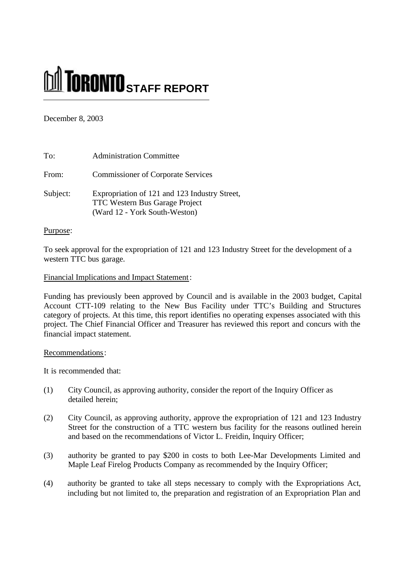# **STAFF REPORT**

December 8, 2003

| To:      | <b>Administration Committee</b>                                                                                         |
|----------|-------------------------------------------------------------------------------------------------------------------------|
| From:    | <b>Commissioner of Corporate Services</b>                                                                               |
| Subject: | Expropriation of 121 and 123 Industry Street,<br><b>TTC Western Bus Garage Project</b><br>(Ward 12 - York South-Weston) |

# Purpose:

To seek approval for the expropriation of 121 and 123 Industry Street for the development of a western TTC bus garage.

# Financial Implications and Impact Statement:

Funding has previously been approved by Council and is available in the 2003 budget, Capital Account CTT-109 relating to the New Bus Facility under TTC's Building and Structures category of projects. At this time, this report identifies no operating expenses associated with this project. The Chief Financial Officer and Treasurer has reviewed this report and concurs with the financial impact statement.

# Recommendations:

It is recommended that:

- (1) City Council, as approving authority, consider the report of the Inquiry Officer as detailed herein;
- (2) City Council, as approving authority, approve the expropriation of 121 and 123 Industry Street for the construction of a TTC western bus facility for the reasons outlined herein and based on the recommendations of Victor L. Freidin, Inquiry Officer;
- (3) authority be granted to pay \$200 in costs to both Lee-Mar Developments Limited and Maple Leaf Firelog Products Company as recommended by the Inquiry Officer;
- (4) authority be granted to take all steps necessary to comply with the Expropriations Act, including but not limited to, the preparation and registration of an Expropriation Plan and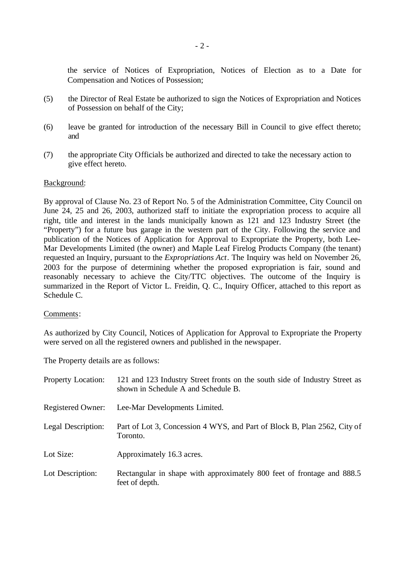the service of Notices of Expropriation, Notices of Election as to a Date for Compensation and Notices of Possession;

- (5) the Director of Real Estate be authorized to sign the Notices of Expropriation and Notices of Possession on behalf of the City;
- (6) leave be granted for introduction of the necessary Bill in Council to give effect thereto; and
- (7) the appropriate City Officials be authorized and directed to take the necessary action to give effect hereto.

### Background:

By approval of Clause No. 23 of Report No. 5 of the Administration Committee, City Council on June 24, 25 and 26, 2003, authorized staff to initiate the expropriation process to acquire all right, title and interest in the lands municipally known as 121 and 123 Industry Street (the "Property") for a future bus garage in the western part of the City. Following the service and publication of the Notices of Application for Approval to Expropriate the Property, both Lee-Mar Developments Limited (the owner) and Maple Leaf Firelog Products Company (the tenant) requested an Inquiry, pursuant to the *Expropriations Act*. The Inquiry was held on November 26, 2003 for the purpose of determining whether the proposed expropriation is fair, sound and reasonably necessary to achieve the City/TTC objectives. The outcome of the Inquiry is summarized in the Report of Victor L. Freidin, Q. C., Inquiry Officer, attached to this report as Schedule C.

#### Comments:

As authorized by City Council, Notices of Application for Approval to Expropriate the Property were served on all the registered owners and published in the newspaper.

The Property details are as follows:

| <b>Property Location:</b> | 121 and 123 Industry Street fronts on the south side of Industry Street as<br>shown in Schedule A and Schedule B. |
|---------------------------|-------------------------------------------------------------------------------------------------------------------|
| Registered Owner:         | Lee-Mar Developments Limited.                                                                                     |
| Legal Description:        | Part of Lot 3, Concession 4 WYS, and Part of Block B, Plan 2562, City of<br>Toronto.                              |
| Lot Size:                 | Approximately 16.3 acres.                                                                                         |
| Lot Description:          | Rectangular in shape with approximately 800 feet of frontage and 888.5<br>feet of depth.                          |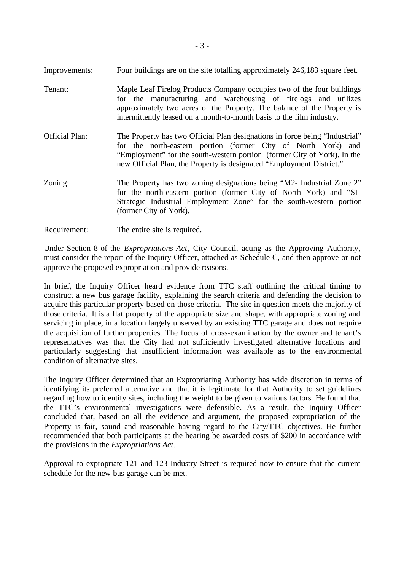- Improvements: Four buildings are on the site totalling approximately 246,183 square feet.
- Tenant: Maple Leaf Firelog Products Company occupies two of the four buildings for the manufacturing and warehousing of firelogs and utilizes approximately two acres of the Property. The balance of the Property is intermittently leased on a month-to-month basis to the film industry.
- Official Plan: The Property has two Official Plan designations in force being "Industrial" for the north-eastern portion (former City of North York) and "Employment" for the south-western portion (former City of York). In the new Official Plan, the Property is designated "Employment District."
- Zoning: The Property has two zoning designations being "M2- Industrial Zone 2" for the north-eastern portion (former City of North York) and "SI-Strategic Industrial Employment Zone" for the south-western portion (former City of York).
- Requirement: The entire site is required.

Under Section 8 of the *Expropriations Act*, City Council, acting as the Approving Authority, must consider the report of the Inquiry Officer, attached as Schedule C, and then approve or not approve the proposed expropriation and provide reasons.

In brief, the Inquiry Officer heard evidence from TTC staff outlining the critical timing to construct a new bus garage facility, explaining the search criteria and defending the decision to acquire this particular property based on those criteria. The site in question meets the majority of those criteria. It is a flat property of the appropriate size and shape, with appropriate zoning and servicing in place, in a location largely unserved by an existing TTC garage and does not require the acquisition of further properties. The focus of cross-examination by the owner and tenant's representatives was that the City had not sufficiently investigated alternative locations and particularly suggesting that insufficient information was available as to the environmental condition of alternative sites.

The Inquiry Officer determined that an Expropriating Authority has wide discretion in terms of identifying its preferred alternative and that it is legitimate for that Authority to set guidelines regarding how to identify sites, including the weight to be given to various factors. He found that the TTC's environmental investigations were defensible. As a result, the Inquiry Officer concluded that, based on all the evidence and argument, the proposed expropriation of the Property is fair, sound and reasonable having regard to the City/TTC objectives. He further recommended that both participants at the hearing be awarded costs of \$200 in accordance with the provisions in the *Expropriations Act*.

Approval to expropriate 121 and 123 Industry Street is required now to ensure that the current schedule for the new bus garage can be met.